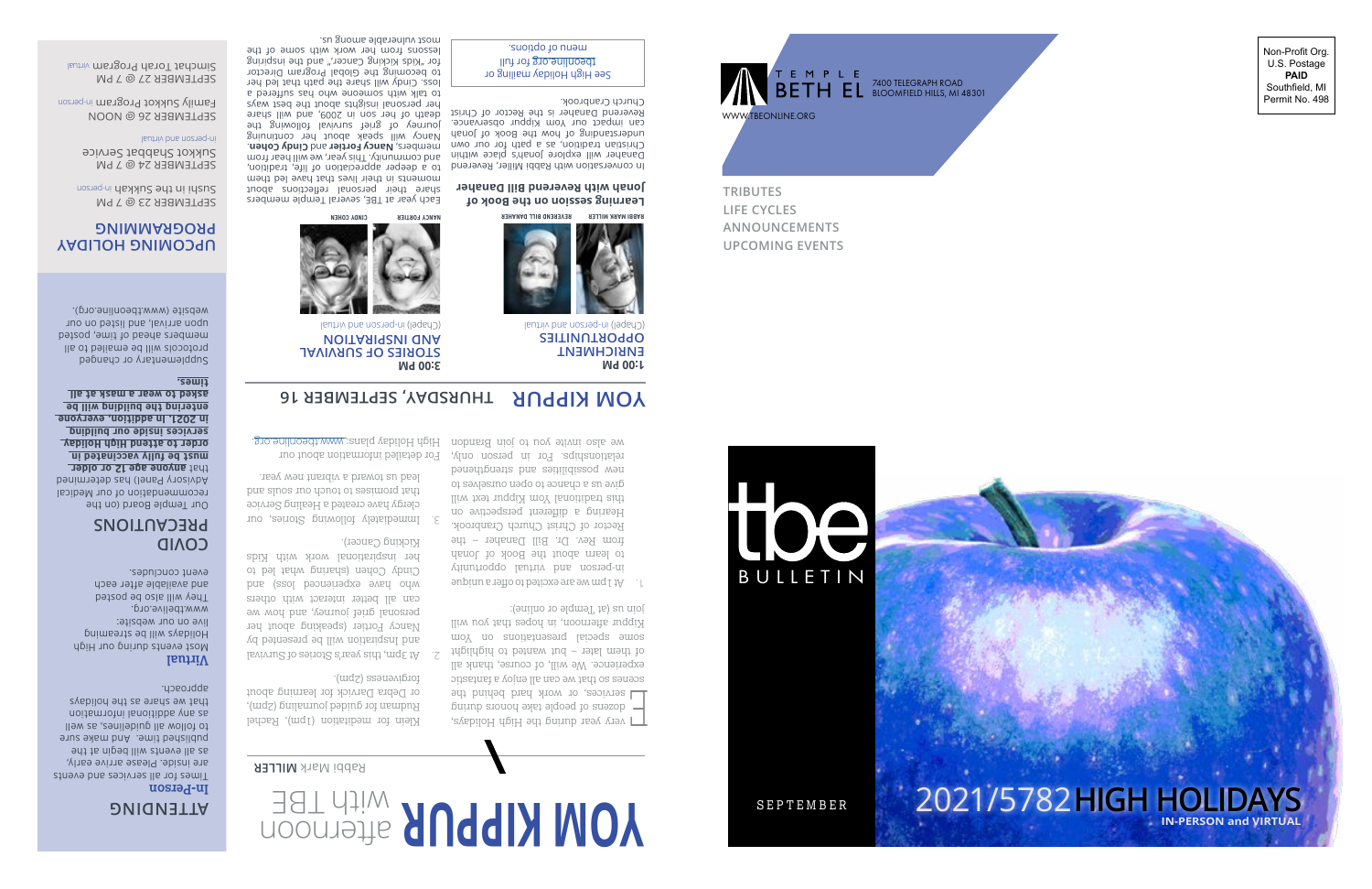

7400 TELEGRAPH ROAD BLOOMFIELD HILLS, MI 48301 Non-Profit Org. U.S. Postage **PAID** Southfield, MI Permit No. 498

**TRIBUTES LIFE CYCLES ANNOUNCEMENTS UPCOMING EVENTS** 



# **TTENDING <sup>A</sup>** 2021/5782**HIGH HOLIDAYS In-Person IN-PERSON and VIRTUAL**

SEPTEMBER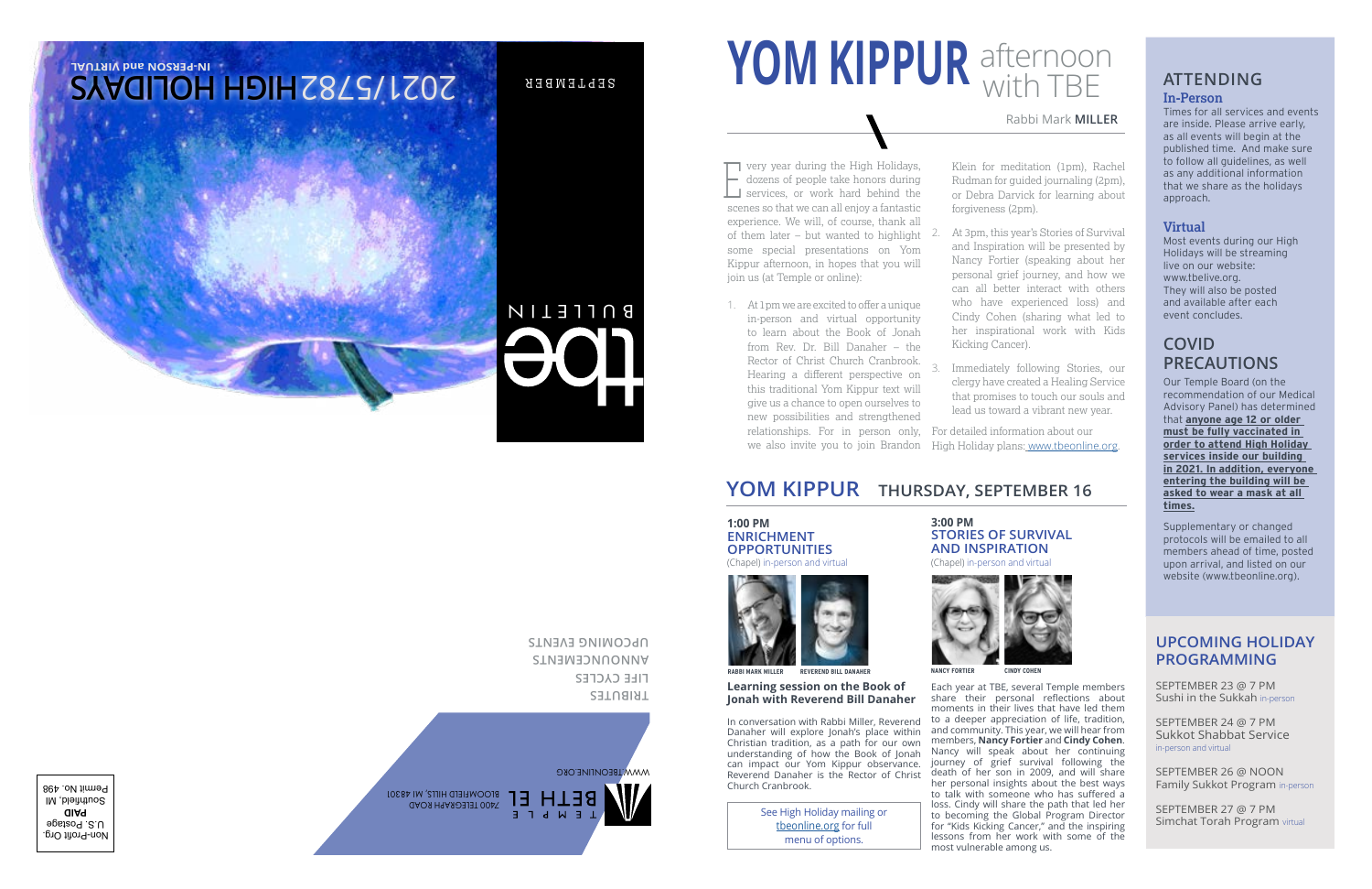# **EXAMPLE 2 11** With TBE **ATTENDING In-Person YOM KIPPUR** afternoon with TBE

### Rabbi Mark **MILLER**

very year during the High Holidays, - dozens of people take honors during very year during the High Holidays,<br>dozens of people take honors during<br>services, or work hard behind the scenes so that we can all enjoy a fantastic experience. We will, of course, thank all of them later – but wanted to highlight some special presentations on Yom Kippur afternoon, in hopes that you will join us (at Temple or online):

1. At 1pm we are excited to offer a unique in-person and virtual opportunity to learn about the Book of Jonah from Rev. Dr. Bill Danaher – the Rector of Christ Church Cranbrook. Hearing a different perspective on this traditional Yom Kippur text will give us a chance to open ourselves to new possibilities and strengthened relationships. For in person only, we also invite you to join Brandon Klein for meditation (1pm), Rachel Rudman for guided journaling (2pm), or Debra Darvick for learning about forgiveness (2pm).

- 2. At 3pm, this year's Stories of Survival and Inspiration will be presented by Nancy Fortier (speaking about her personal grief journey, and how we can all better interact with others who have experienced loss) and Cindy Cohen (sharing what led to her inspirational work with Kids Kicking Cancer).
- 3. Immediately following Stories, our clergy have created a Healing Service that promises to touch our souls and lead us toward a vibrant new year.

For detailed information about our High Holiday plans: [www.tbeonline.org](http:// www.tbeonline.org/high-holidays).

### **YOM KIPPURTHURSDAY, SEPTEMBER 16**

### **1:00 PM ENRICHMENT OPPORTUNITIES**

(Chapel) in-person and virtual



**RABBI MARK MILLER BEVEREND BILL DANAHER** 

### **Learning session on the Book of Jonah with Reverend Bill Danaher**

In conversation with Rabbi Miller, Reverend Danaher will explore Jonah's place within Christian tradition, as a path for our own understanding of how the Book of Jonah can impact our Yom Kippur observance. Reverend Danaher is the Rector of Christ Church Cranbrook.

> See High Holiday mailing or [tbeonline.org](http://tbeonline.org) for full menu of options.

### **3:00 PMSTORIES OF SURVIVAL AND INSPIRATION**

(Chapel) in-person and virtual



**NANCY FORTIER CINDY COHEN**

Each year at TBE, several Temple members share their personal reflections about moments in their lives that have led them to a deeper appreciation of life, tradition, and community. This year, we will hear from members, **Nancy Fortier** and **Cindy Cohen**. Nancy will speak about her continuing journey of grief survival following the death of her son in 2009, and will share her personal insights about the best ways to talk with someone who has suffered a loss. Cindy will share the path that led her to becoming the Global Program Director for "Kids Kicking Cancer," and the inspiring lessons from her work with some of the most vulnerable among us.

Times for all services and events are inside. Please arrive early, as all events will begin at the published time. And make sure to follow all guidelines, as well as any additional information that we share as the holidays approach.

### **Virtual**

Most events during our High Holidays will be streaming live on our website: www.tbelive.org. They will also be posted and available after each event concludes.

### **COVID PRECAUTIONS**

Our Temple Board (on the recommendation of our Medical Advisory Panel) has determined that **anyone age 12 or older must be fully vaccinated in order to attend High Holiday services inside our building in 2021. In addition, everyone entering the building will be asked to wear a mask at all times.**

Supplementary or changed protocols will be emailed to all members ahead of time, posted upon arrival, and listed on our website (www.tbeonline.org).

### **UPCOMING HOLIDAY PROGRAMMING**

SEPTEMBER 23 @ 7 PMSushi in the Sukkah in-persor

SEPTEMBER 24 @ 7 PMSukkot Shabbat Service in-person and virtual

SEPTEMBER 26 @ NOON Family Sukkot Program in-person

SEPTEMBER 27 @ 7 PMSimchat Torah Program virtual